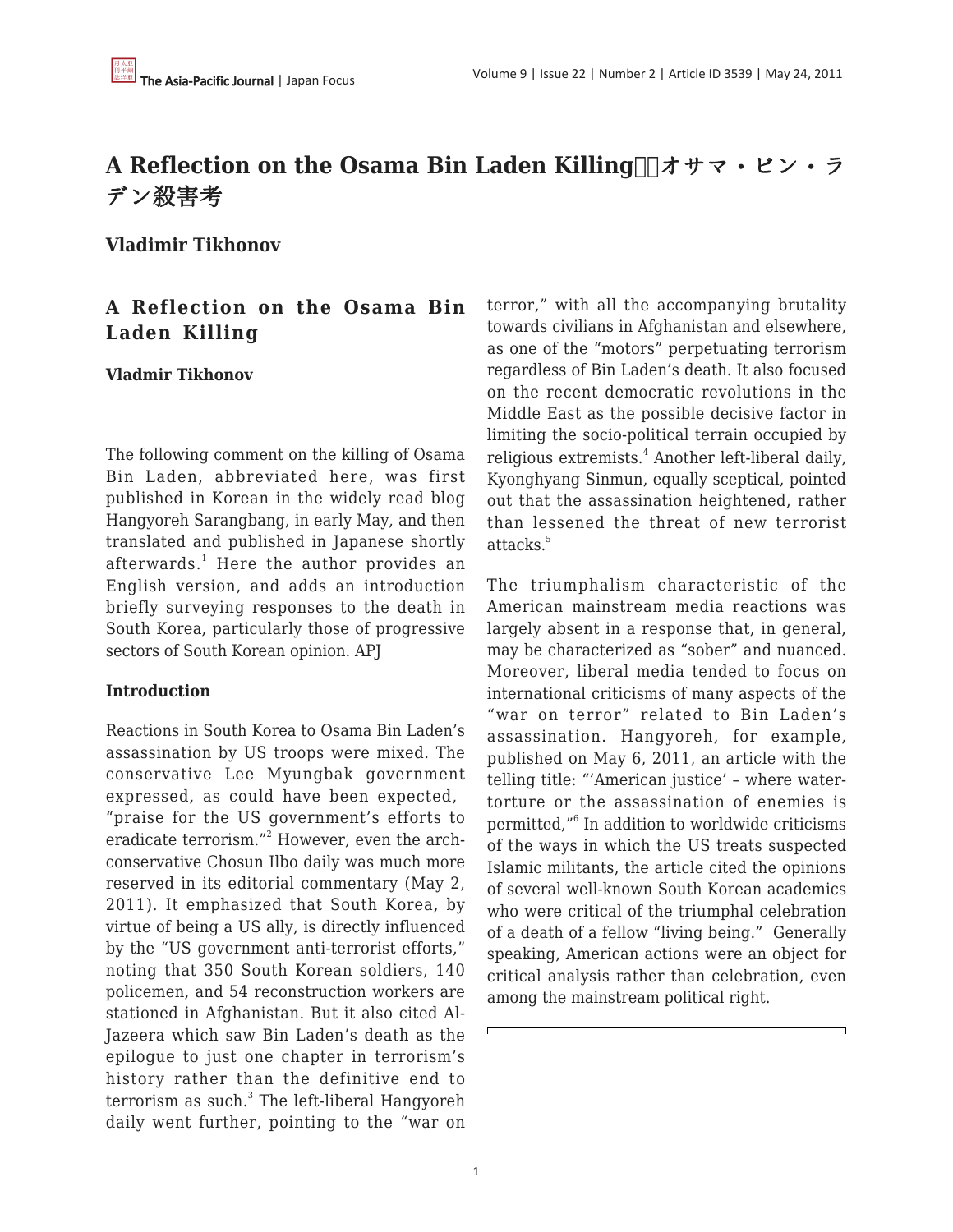# **A Reflection on the Osama Bin Laden Killing ■オサマ・ビン・ラ** デン殺害考

**Vladimir Tikhonov**

## **A Reflection on the Osama Bin Laden Killing**

#### **Vladmir Tikhonov**

The following comment on the killing of Osama Bin Laden, abbreviated here, was first published in Korean in the widely read blog Hangyoreh Sarangbang, in early May, and then translated and published in Japanese shortly afterwards. $^1$  Here the author provides an English version, and adds an introduction briefly surveying responses to the death in South Korea, particularly those of progressive sectors of South Korean opinion. APJ

#### **Introduction**

Reactions in South Korea to Osama Bin Laden's assassination by US troops were mixed. The conservative Lee Myungbak government expressed, as could have been expected, "praise for the US government's efforts to eradicate terrorism."<sup>2</sup> However, even the archconservative Chosun Ilbo daily was much more reserved in its editorial commentary (May 2, 2011). It emphasized that South Korea, by virtue of being a US ally, is directly influenced by the "US government anti-terrorist efforts," noting that 350 South Korean soldiers, 140 policemen, and 54 reconstruction workers are stationed in Afghanistan. But it also cited Al-Jazeera which saw Bin Laden's death as the epilogue to just one chapter in terrorism's history rather than the definitive end to terrorism as such.<sup>3</sup> The left-liberal Hangyoreh daily went further, pointing to the "war on terror," with all the accompanying brutality towards civilians in Afghanistan and elsewhere, as one of the "motors" perpetuating terrorism regardless of Bin Laden's death. It also focused on the recent democratic revolutions in the Middle East as the possible decisive factor in limiting the socio-political terrain occupied by religious extremists.<sup>4</sup> Another left-liberal daily, Kyonghyang Sinmun, equally sceptical, pointed out that the assassination heightened, rather than lessened the threat of new terrorist attacks.<sup>5</sup>

The triumphalism characteristic of the American mainstream media reactions was largely absent in a response that, in general, may be characterized as "sober" and nuanced. Moreover, liberal media tended to focus on international criticisms of many aspects of the "war on terror" related to Bin Laden's assassination. Hangyoreh, for example, published on May 6, 2011, an article with the telling title: "'American justice' – where watertorture or the assassination of enemies is permitted,"<sup>6</sup> In addition to worldwide criticisms of the ways in which the US treats suspected Islamic militants, the article cited the opinions of several well-known South Korean academics who were critical of the triumphal celebration of a death of a fellow "living being." Generally speaking, American actions were an object for critical analysis rather than celebration, even among the mainstream political right.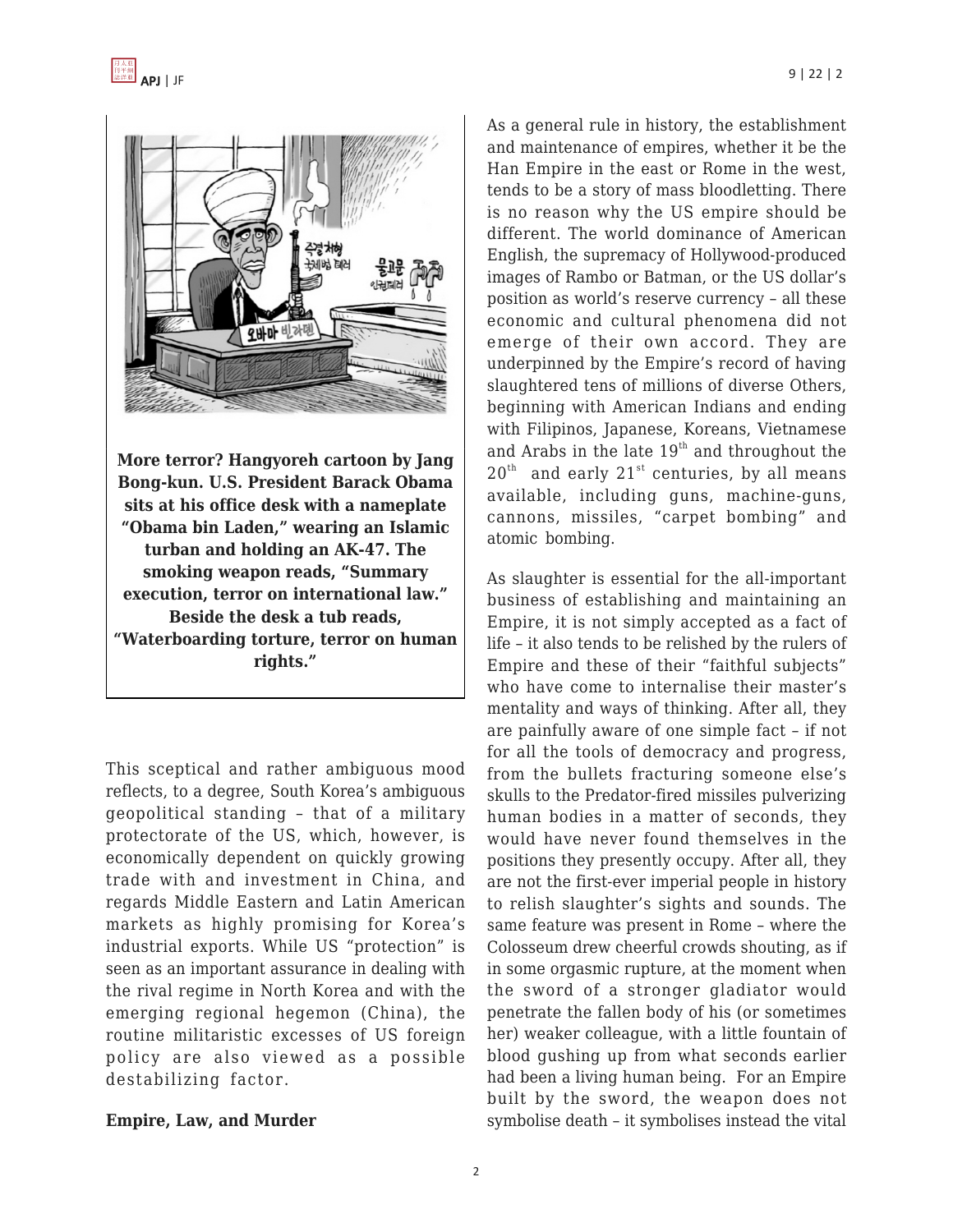

**More terror? Hangyoreh cartoon by Jang Bong-kun. U.S. President Barack Obama sits at his office desk with a nameplate "Obama bin Laden," wearing an Islamic turban and holding an AK-47. The smoking weapon reads, "Summary execution, terror on international law." Beside the desk a tub reads, "Waterboarding torture, terror on human rights."**

This sceptical and rather ambiguous mood reflects, to a degree, South Korea's ambiguous geopolitical standing – that of a military protectorate of the US, which, however, is economically dependent on quickly growing trade with and investment in China, and regards Middle Eastern and Latin American markets as highly promising for Korea's industrial exports. While US "protection" is seen as an important assurance in dealing with the rival regime in North Korea and with the emerging regional hegemon (China), the routine militaristic excesses of US foreign policy are also viewed as a possible destabilizing factor.

#### **Empire, Law, and Murder**

As a general rule in history, the establishment and maintenance of empires, whether it be the Han Empire in the east or Rome in the west, tends to be a story of mass bloodletting. There is no reason why the US empire should be different. The world dominance of American English, the supremacy of Hollywood-produced images of Rambo or Batman, or the US dollar's position as world's reserve currency – all these economic and cultural phenomena did not emerge of their own accord. They are underpinned by the Empire's record of having slaughtered tens of millions of diverse Others, beginning with American Indians and ending with Filipinos, Japanese, Koreans, Vietnamese and Arabs in the late  $19<sup>th</sup>$  and throughout the  $20<sup>th</sup>$  and early  $21<sup>st</sup>$  centuries, by all means available, including guns, machine-guns, cannons, missiles, "carpet bombing" and atomic bombing.

As slaughter is essential for the all-important business of establishing and maintaining an Empire, it is not simply accepted as a fact of life – it also tends to be relished by the rulers of Empire and these of their "faithful subjects" who have come to internalise their master's mentality and ways of thinking. After all, they are painfully aware of one simple fact – if not for all the tools of democracy and progress, from the bullets fracturing someone else's skulls to the Predator-fired missiles pulverizing human bodies in a matter of seconds, they would have never found themselves in the positions they presently occupy. After all, they are not the first-ever imperial people in history to relish slaughter's sights and sounds. The same feature was present in Rome – where the Colosseum drew cheerful crowds shouting, as if in some orgasmic rupture, at the moment when the sword of a stronger gladiator would penetrate the fallen body of his (or sometimes her) weaker colleague, with a little fountain of blood gushing up from what seconds earlier had been a living human being. For an Empire built by the sword, the weapon does not symbolise death – it symbolises instead the vital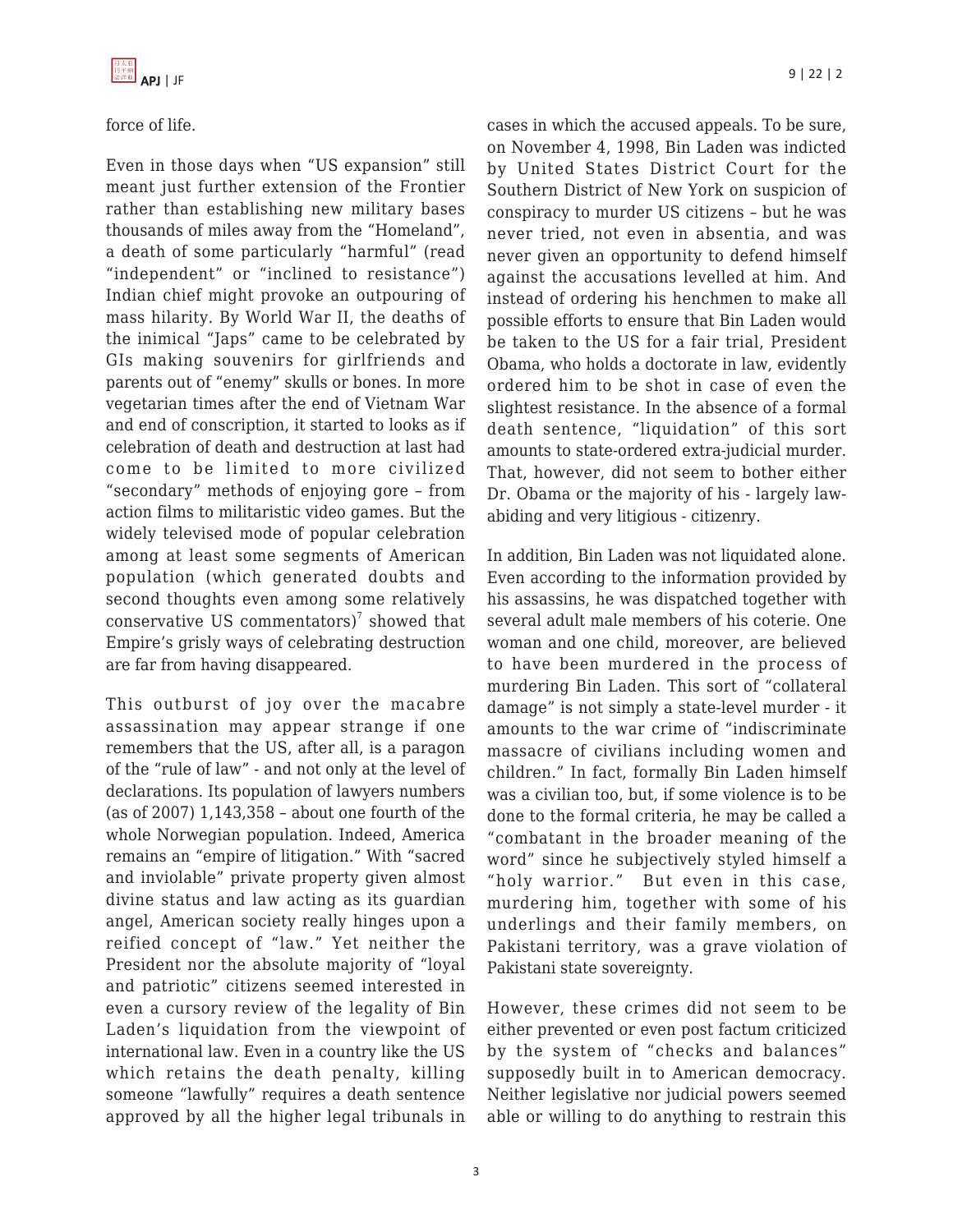force of life.

Even in those days when "US expansion" still meant just further extension of the Frontier rather than establishing new military bases thousands of miles away from the "Homeland", a death of some particularly "harmful" (read "independent" or "inclined to resistance") Indian chief might provoke an outpouring of mass hilarity. By World War II, the deaths of the inimical "Japs" came to be celebrated by GIs making souvenirs for girlfriends and parents out of "enemy" skulls or bones. In more vegetarian times after the end of Vietnam War and end of conscription, it started to looks as if celebration of death and destruction at last had come to be limited to more civilized "secondary" methods of enjoying gore – from action films to militaristic video games. But the widely televised mode of popular celebration among at least some segments of American population (which generated doubts and second thoughts even among some relatively conservative US commentators)<sup>7</sup> showed that Empire's grisly ways of celebrating destruction are far from having disappeared.

This outburst of joy over the macabre assassination may appear strange if one remembers that the US, after all, is a paragon of the "rule of law" - and not only at the level of declarations. Its population of lawyers numbers (as of 2007) 1,143,358 – about one fourth of the whole Norwegian population. Indeed, America remains an "empire of litigation." With "sacred and inviolable" private property given almost divine status and law acting as its guardian angel, American society really hinges upon a reified concept of "law." Yet neither the President nor the absolute majority of "loyal and patriotic" citizens seemed interested in even a cursory review of the legality of Bin Laden's liquidation from the viewpoint of international law. Even in a country like the US which retains the death penalty, killing someone "lawfully" requires a death sentence approved by all the higher legal tribunals in

cases in which the accused appeals. To be sure, on November 4, 1998, Bin Laden was indicted by United States District Court for the Southern District of New York on suspicion of conspiracy to murder US citizens – but he was never tried, not even in absentia, and was never given an opportunity to defend himself against the accusations levelled at him. And instead of ordering his henchmen to make all possible efforts to ensure that Bin Laden would be taken to the US for a fair trial, President Obama, who holds a doctorate in law, evidently ordered him to be shot in case of even the slightest resistance. In the absence of a formal death sentence, "liquidation" of this sort amounts to state-ordered extra-judicial murder. That, however, did not seem to bother either Dr. Obama or the majority of his - largely lawabiding and very litigious - citizenry.

In addition, Bin Laden was not liquidated alone. Even according to the information provided by his assassins, he was dispatched together with several adult male members of his coterie. One woman and one child, moreover, are believed to have been murdered in the process of murdering Bin Laden. This sort of "collateral damage" is not simply a state-level murder - it amounts to the war crime of "indiscriminate massacre of civilians including women and children." In fact, formally Bin Laden himself was a civilian too, but, if some violence is to be done to the formal criteria, he may be called a "combatant in the broader meaning of the word" since he subjectively styled himself a "holy warrior." But even in this case, murdering him, together with some of his underlings and their family members, on Pakistani territory, was a grave violation of Pakistani state sovereignty.

However, these crimes did not seem to be either prevented or even post factum criticized by the system of "checks and balances" supposedly built in to American democracy. Neither legislative nor judicial powers seemed able or willing to do anything to restrain this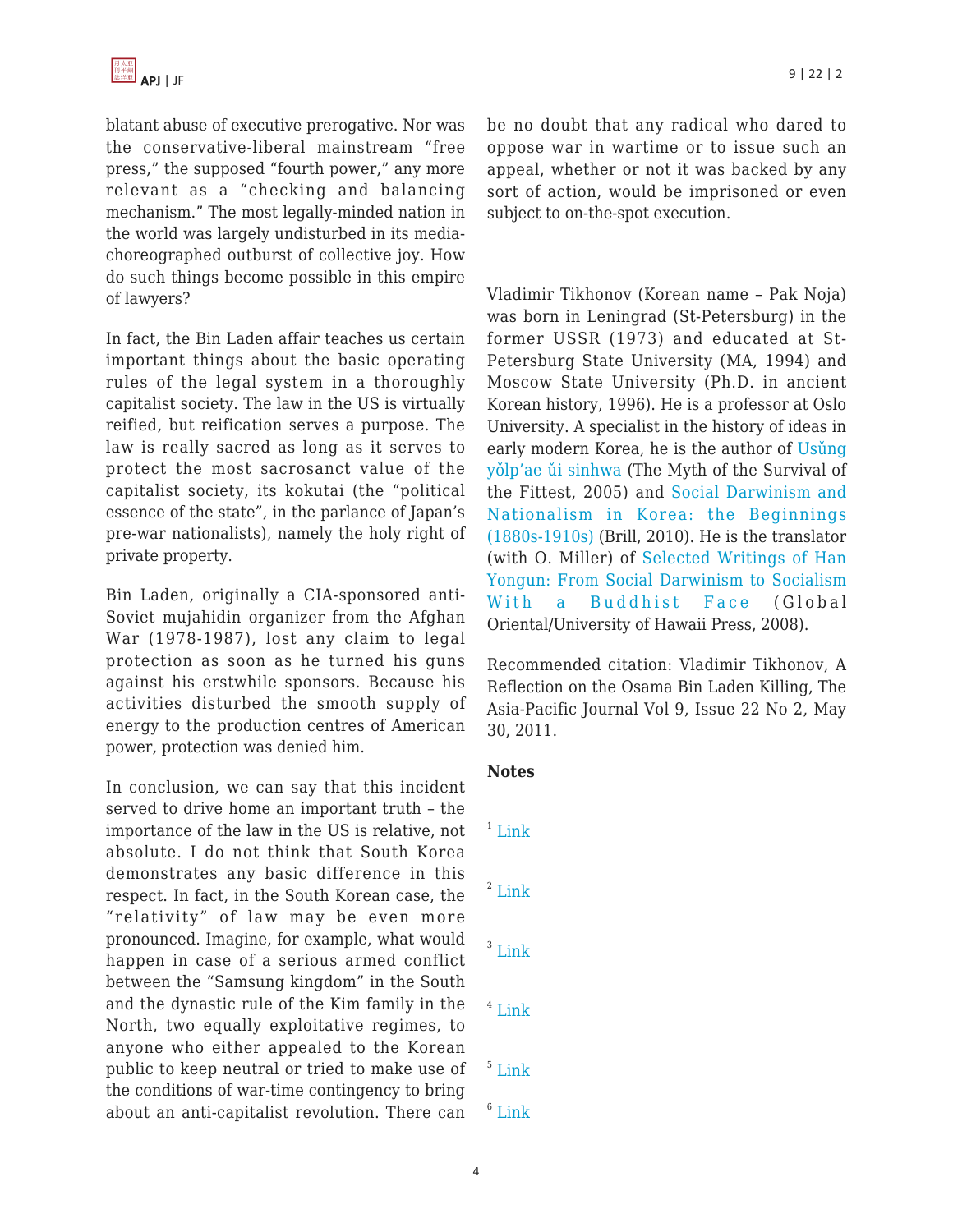blatant abuse of executive prerogative. Nor was the conservative-liberal mainstream "free press," the supposed "fourth power," any more relevant as a "checking and balancing mechanism." The most legally-minded nation in the world was largely undisturbed in its mediachoreographed outburst of collective joy. How do such things become possible in this empire of lawyers?

In fact, the Bin Laden affair teaches us certain important things about the basic operating rules of the legal system in a thoroughly capitalist society. The law in the US is virtually reified, but reification serves a purpose. The law is really sacred as long as it serves to protect the most sacrosanct value of the capitalist society, its kokutai (the "political essence of the state", in the parlance of Japan's pre-war nationalists), namely the holy right of private property.

Bin Laden, originally a CIA-sponsored anti-Soviet mujahidin organizer from the Afghan War (1978-1987), lost any claim to legal protection as soon as he turned his guns against his erstwhile sponsors. Because his activities disturbed the smooth supply of energy to the production centres of American power, protection was denied him.

In conclusion, we can say that this incident served to drive home an important truth – the importance of the law in the US is relative, not absolute. I do not think that South Korea demonstrates any basic difference in this respect. In fact, in the South Korean case, the "relativity" of law may be even more pronounced. Imagine, for example, what would happen in case of a serious armed conflict between the "Samsung kingdom" in the South and the dynastic rule of the Kim family in the North, two equally exploitative regimes, to anyone who either appealed to the Korean public to keep neutral or tried to make use of the conditions of war-time contingency to bring about an anti-capitalist revolution. There can be no doubt that any radical who dared to oppose war in wartime or to issue such an appeal, whether or not it was backed by any sort of action, would be imprisoned or even subject to on-the-spot execution.

Vladimir Tikhonov (Korean name – Pak Noja) was born in Leningrad (St-Petersburg) in the former USSR (1973) and educated at St-Petersburg State University (MA, 1994) and Moscow State University (Ph.D. in ancient Korean history, 1996). He is a professor at Oslo University. A specialist in the history of ideas in early modern Korea, he is the author of Usung [yǒlp'ae ǔi sinhwa](http://www.aladdin.co.kr/shop/wproduct.aspx?isbn=8984311529) (The Myth of the Survival of the Fittest, 2005) and [Social Darwinism and](http://www.amazon.com/Social-Darwinism-Nationalism-Korea-1880s-1910s/dp/9004185038) [Nationalism in Korea: the Beginnings](http://www.amazon.com/Social-Darwinism-Nationalism-Korea-1880s-1910s/dp/9004185038) [\(1880s-1910s\)](http://www.amazon.com/Social-Darwinism-Nationalism-Korea-1880s-1910s/dp/9004185038) (Brill, 2010). He is the translator (with O. Miller) of [Selected Writings of Han](http://www.amazon.com/Selected-Writings-Han-Yongun-%20Darwinism/dp/1905246471/ref=sr_1_1?ie=UTF8&s=books&qid=1237140788&sr=8-1) [Yongun: From Social Darwinism to Socialism](http://www.amazon.com/Selected-Writings-Han-Yongun-%20Darwinism/dp/1905246471/ref=sr_1_1?ie=UTF8&s=books&qid=1237140788&sr=8-1) [With a Buddhist Face](http://www.amazon.com/Selected-Writings-Han-Yongun-%20Darwinism/dp/1905246471/ref=sr_1_1?ie=UTF8&s=books&qid=1237140788&sr=8-1) (Global Oriental/University of Hawaii Press, 2008).

Recommended citation: Vladimir Tikhonov, A Reflection on the Osama Bin Laden Killing, The Asia-Pacific Journal Vol 9, Issue 22 No 2, May 30, 2011.

### **Notes**

- $1$  [Link](http://blog.hani.co.kr/gategateparagate/35116, and http://blog/livedoor/archives/1477413.html/)
- $2$  [Link](http://blogs.wsj.com/korearealtime/2011/05/02/sks-lee-praises-u-s-strike-on-bin-laden/)
- $3$  [Link](http://news.chosun.com/site/data/html_dir/2011/05/02/2011050202332.html)
- 4 [Link](http://www.hani.co.kr/arti/international/international_general/475958.html)
- 5 [Link](http://news.khan.co.kr/kh_news/khan_art_view.html?artid=201105022207265&code=970201)
- $6$  [Link](http://www.hani.co.kr/arti/international/international_general/476678.html)